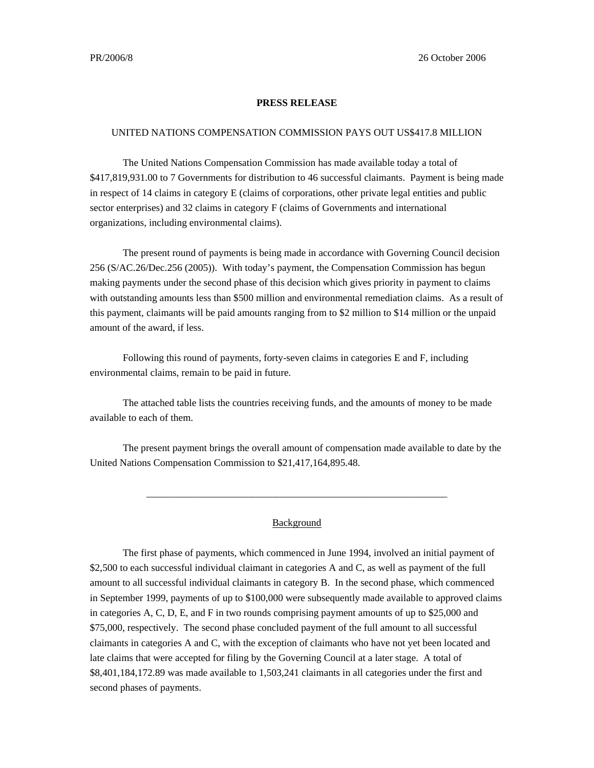## **PRESS RELEASE**

## UNITED NATIONS COMPENSATION COMMISSION PAYS OUT US\$417.8 MILLION

The United Nations Compensation Commission has made available today a total of \$417,819,931.00 to 7 Governments for distribution to 46 successful claimants. Payment is being made in respect of 14 claims in category E (claims of corporations, other private legal entities and public sector enterprises) and 32 claims in category F (claims of Governments and international organizations, including environmental claims).

The present round of payments is being made in accordance with Governing Council decision 256 (S/AC.26/Dec.256 (2005)). With today's payment, the Compensation Commission has begun making payments under the second phase of this decision which gives priority in payment to claims with outstanding amounts less than \$500 million and environmental remediation claims. As a result of this payment, claimants will be paid amounts ranging from to \$2 million to \$14 million or the unpaid amount of the award, if less.

Following this round of payments, forty-seven claims in categories E and F, including environmental claims, remain to be paid in future.

The attached table lists the countries receiving funds, and the amounts of money to be made available to each of them.

The present payment brings the overall amount of compensation made available to date by the United Nations Compensation Commission to \$21,417,164,895.48.

## Background

\_\_\_\_\_\_\_\_\_\_\_\_\_\_\_\_\_\_\_\_\_\_\_\_\_\_\_\_\_\_\_\_\_\_\_\_\_\_\_\_\_\_\_\_\_\_\_\_\_\_\_\_\_\_\_\_\_\_\_\_

The first phase of payments, which commenced in June 1994, involved an initial payment of \$2,500 to each successful individual claimant in categories A and C, as well as payment of the full amount to all successful individual claimants in category B. In the second phase, which commenced in September 1999, payments of up to \$100,000 were subsequently made available to approved claims in categories A, C, D, E, and F in two rounds comprising payment amounts of up to \$25,000 and \$75,000, respectively. The second phase concluded payment of the full amount to all successful claimants in categories A and C, with the exception of claimants who have not yet been located and late claims that were accepted for filing by the Governing Council at a later stage. A total of \$8,401,184,172.89 was made available to 1,503,241 claimants in all categories under the first and second phases of payments.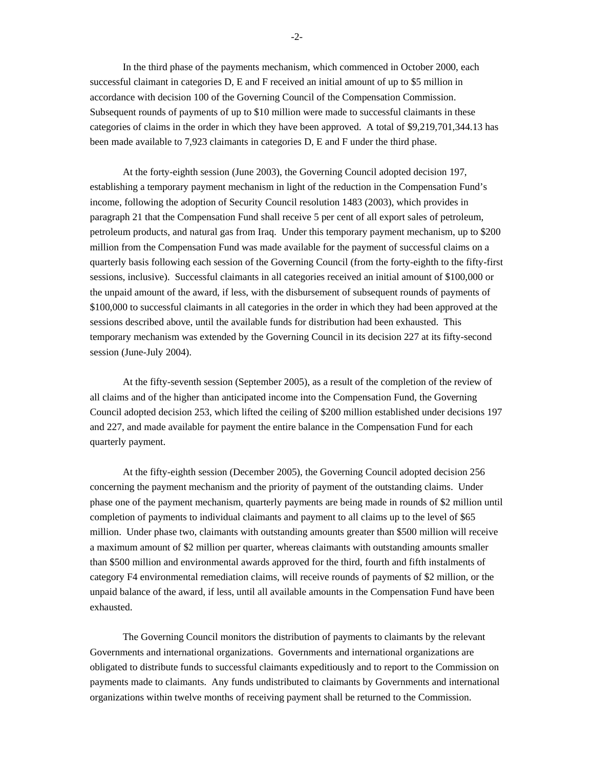In the third phase of the payments mechanism, which commenced in October 2000, each successful claimant in categories D, E and F received an initial amount of up to \$5 million in accordance with decision 100 of the Governing Council of the Compensation Commission. Subsequent rounds of payments of up to \$10 million were made to successful claimants in these categories of claims in the order in which they have been approved. A total of \$9,219,701,344.13 has been made available to 7,923 claimants in categories D, E and F under the third phase.

At the forty-eighth session (June 2003), the Governing Council adopted decision 197, establishing a temporary payment mechanism in light of the reduction in the Compensation Fund's income, following the adoption of Security Council resolution 1483 (2003), which provides in paragraph 21 that the Compensation Fund shall receive 5 per cent of all export sales of petroleum, petroleum products, and natural gas from Iraq. Under this temporary payment mechanism, up to \$200 million from the Compensation Fund was made available for the payment of successful claims on a quarterly basis following each session of the Governing Council (from the forty-eighth to the fifty-first sessions, inclusive). Successful claimants in all categories received an initial amount of \$100,000 or the unpaid amount of the award, if less, with the disbursement of subsequent rounds of payments of \$100,000 to successful claimants in all categories in the order in which they had been approved at the sessions described above, until the available funds for distribution had been exhausted. This temporary mechanism was extended by the Governing Council in its decision 227 at its fifty-second session (June-July 2004).

At the fifty-seventh session (September 2005), as a result of the completion of the review of all claims and of the higher than anticipated income into the Compensation Fund, the Governing Council adopted decision 253, which lifted the ceiling of \$200 million established under decisions 197 and 227, and made available for payment the entire balance in the Compensation Fund for each quarterly payment.

At the fifty-eighth session (December 2005), the Governing Council adopted decision 256 concerning the payment mechanism and the priority of payment of the outstanding claims. Under phase one of the payment mechanism, quarterly payments are being made in rounds of \$2 million until completion of payments to individual claimants and payment to all claims up to the level of \$65 million. Under phase two, claimants with outstanding amounts greater than \$500 million will receive a maximum amount of \$2 million per quarter, whereas claimants with outstanding amounts smaller than \$500 million and environmental awards approved for the third, fourth and fifth instalments of category F4 environmental remediation claims, will receive rounds of payments of \$2 million, or the unpaid balance of the award, if less, until all available amounts in the Compensation Fund have been exhausted.

The Governing Council monitors the distribution of payments to claimants by the relevant Governments and international organizations. Governments and international organizations are obligated to distribute funds to successful claimants expeditiously and to report to the Commission on payments made to claimants. Any funds undistributed to claimants by Governments and international organizations within twelve months of receiving payment shall be returned to the Commission.

-2-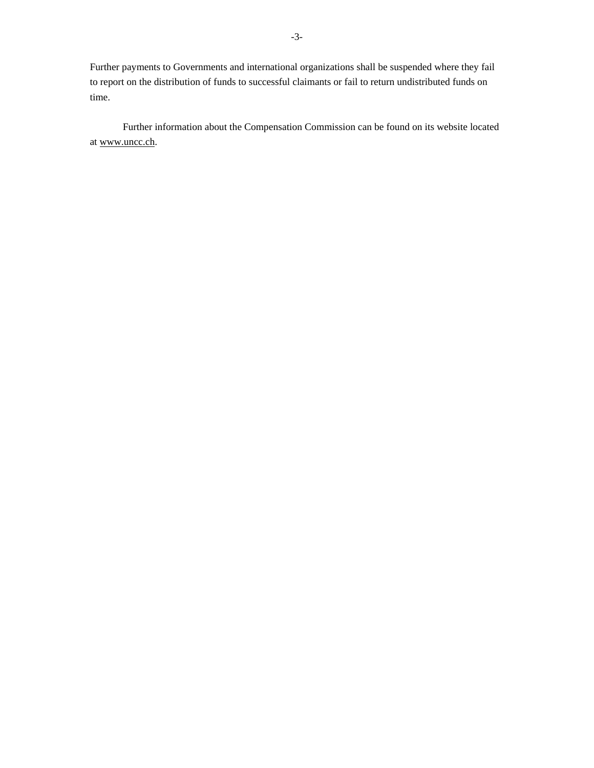Further payments to Governments and international organizations shall be suspended where they fail to report on the distribution of funds to successful claimants or fail to return undistributed funds on time.

Further information about the Compensation Commission can be found on its website located at www.uncc.ch.